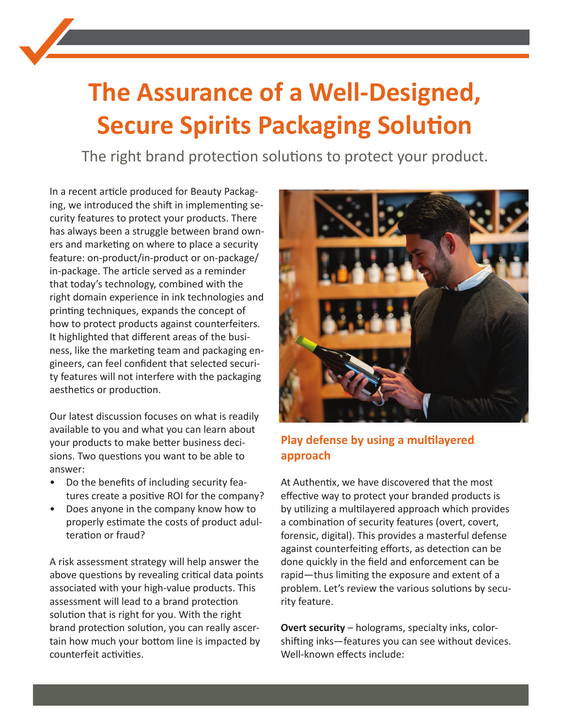# **The Assurance of a Well-Designed, Secure Spirits Packaging Solution**

The right brand protection solutions to protect your product.

In a [recent article p](https://authentix.com/beautiful-and-secure-spirits-packaging/)roduced for Beauty Packaging, we introduced the shift in implementing security features to protect your products. There has always been a struggle between brand owners and marketing on where to place a security feature: on-product/in-product or on-package/ in-package. The article served as a reminder that today's technology, combined with the right domain experience in ink technologies and printing techniques, expands the concept of how to protect products against counterfeiters. It highlighted that different areas of the business, like the marketing team and packaging engineers, can feel confident that selected security features will not interfere with the packaging aesthetics or production.

Our latest discussion focuses on what is readily available to you and what you can learn about your products to make better business decisions. Two questions you want to be able to answer:

- Do the benefits of including security features create a positive ROI for the company?
- Does anyone in the company know how to properly estimate the costs of product adulteration or fraud?

A risk assessment strategy will help answer the above questions by revealing critical data points associated with your high-value products. This assessment will lead to a brand protection solution that is right for you. With the right brand protection solution, you can really ascertain how much your bottom line is impacted by counterfeit activities.



## **Play defense by using a multilayered approach**

At Authentix, we have discovered that the most effective way to protect your branded products is by utilizing a multilayered approach which provides a combination of security features (overt, covert, forensic, digital). This provides a masterful defense against counterfeiting efforts, as detection can be done quickly in the field and enforcement can be rapid—thus limiting the exposure and extent of a problem. Let's review the various solutions by security feature.

**Overt security** – holograms, specialty inks, colorshifting inks—features you can see without devices. Well-known effects include: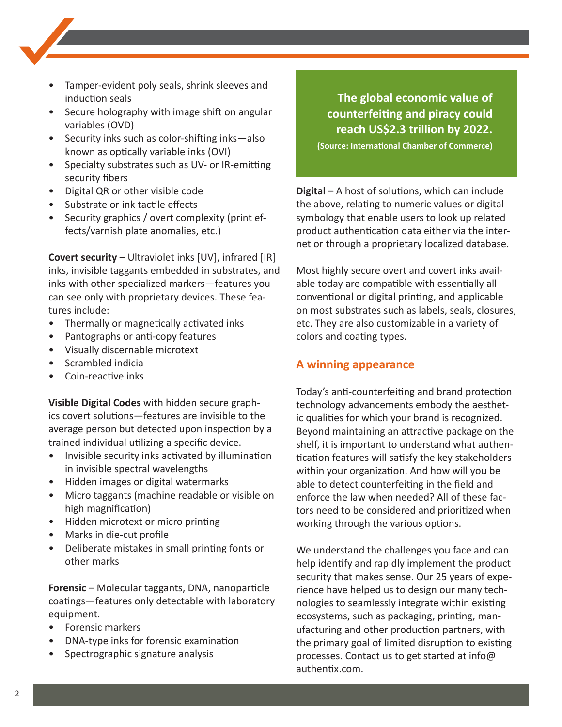- Tamper-evident poly seals, shrink sleeves and induction seals
- Secure holography with image shift on angular variables (OVD)
- Security inks such as color-shifting inks—also known as optically variable inks (OVI)
- Specialty substrates such as UV- or IR-emitting security fibers
- Digital QR or other visible code
- Substrate or ink tactile effects
- Security graphics / overt complexity (print effects/varnish plate anomalies, etc.)

**Covert security** – Ultraviolet inks [UV], infrared [IR] inks, invisible taggants embedded in substrates, and inks with other specialized markers—features you can see only with proprietary devices. These features include:

- Thermally or magnetically activated inks
- Pantographs or anti-copy features
- Visually discernable microtext
- Scrambled indicia
- Coin-reactive inks

**Visible Digital Codes** with hidden secure graphics covert solutions—features are invisible to the average person but detected upon inspection by a trained individual utilizing a specific device.

- Invisible security inks activated by illumination in invisible spectral wavelengths
- Hidden images or digital watermarks
- Micro taggants (machine readable or visible on high magnification)
- Hidden microtext or micro printing
- Marks in die-cut profile
- Deliberate mistakes in small printing fonts or other marks

**Forensic** – Molecular taggants, DNA, nanoparticle coatings—features only detectable with laboratory equipment.

- Forensic markers
- DNA-type inks for forensic examination
- Spectrographic signature analysis

### **The global economic value of counterfeiting and piracy could reach US\$2.3 trillion by 2022.**

**(Source: International Chamber of Commerce)**

**Digital** – A host of solutions, which can include the above, relating to numeric values or digital symbology that enable users to look up related product authentication data either via the internet or through a proprietary localized database.

Most highly secure overt and covert inks available today are compatible with essentially all conventional or digital printing, and applicable on most substrates such as labels, seals, closures, etc. They are also customizable in a variety of colors and coating types.

#### **A winning appearance**

Today's anti-counterfeiting and brand protection technology advancements embody the aesthetic qualities for which your brand is recognized. Beyond maintaining an attractive package on the shelf, it is important to understand what authentication features will satisfy the key stakeholders within your organization. And how will you be able to detect counterfeiting in the field and enforce the law when needed? All of these factors need to be considered and prioritized when working through the various options.

We understand the challenges you face and can help identify and rapidly implement the product security that makes sense. Our 25 years of experience have helped us to design our many technologies to seamlessly integrate within existing ecosystems, such as packaging, printing, manufacturing and other production partners, with the primary goal of limited disruption to existing processes. Contact us to get started at info@ authentix.com.